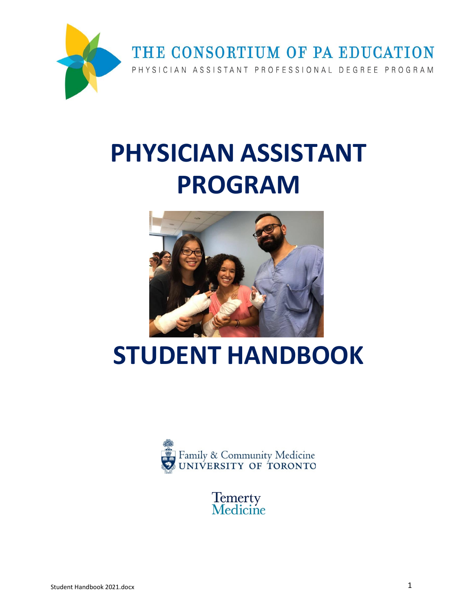

# **PHYSICIAN ASSISTANT PROGRAM**



# **STUDENT HANDBOOK**



**Temerty**<br>**Medicine**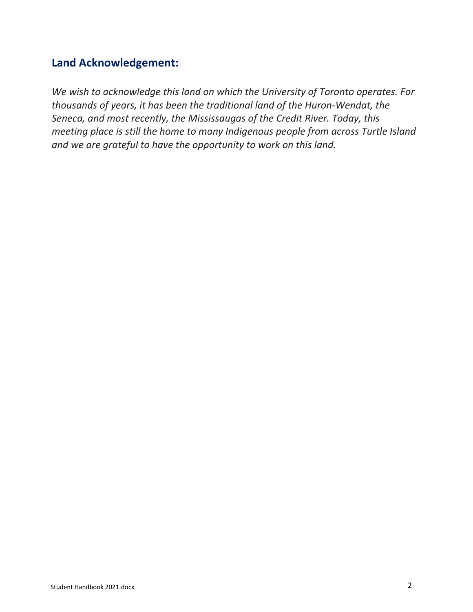# **Land Acknowledgement:**

*We wish to acknowledge this land on which the University of Toronto operates. For thousands of years, it has been the traditional land of the Huron-Wendat, the Seneca, and most recently, the Mississaugas of the Credit River. Today, this meeting place is still the home to many Indigenous people from across Turtle Island and we are grateful to have the opportunity to work on this land.*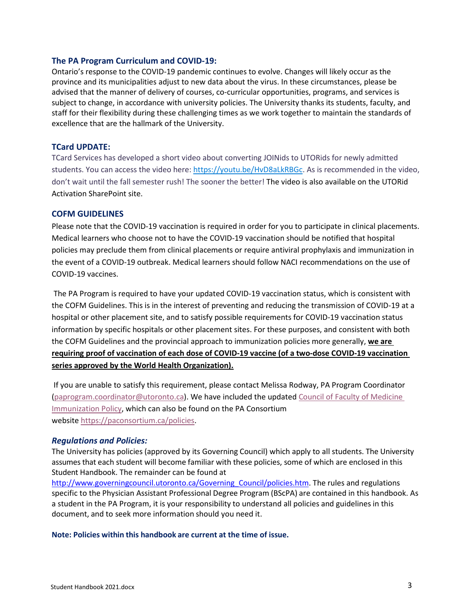#### **The PA Program Curriculum and COVID-19:**

Ontario's response to the COVID-19 pandemic continues to evolve. Changes will likely occur as the province and its municipalities adjust to new data about the virus. In these circumstances, please be advised that the manner of delivery of courses, co-curricular opportunities, programs, and services is subject to change, in accordance with university policies. The University thanks its students, faculty, and staff for their flexibility during these challenging times as we work together to maintain the standards of excellence that are the hallmark of the University.

#### **TCard UPDATE:**

TCard Services has developed a short video about converting JOINids to UTORids for newly admitted students. You can access the video here: [https://youtu.be/HvD8aLkRBGc.](https://youtu.be/HvD8aLkRBGc) As is recommended in the video, don't wait until the fall semester rush! The sooner the better! The video is also available on the UTORid Activation SharePoint site.

#### **COFM GUIDELINES**

Please note that the COVID-19 vaccination is required in order for you to participate in clinical placements. Medical learners who choose not to have the COVID-19 vaccination should be notified that hospital policies may preclude them from clinical placements or require antiviral prophylaxis and immunization in the event of a COVID-19 outbreak. Medical learners should follow NACI recommendations on the use of COVID-19 vaccines.

The PA Program is required to have your updated COVID-19 vaccination status, which is consistent with the COFM Guidelines. This is in the interest of preventing and reducing the transmission of COVID-19 at a hospital or other placement site, and to satisfy possible requirements for COVID-19 vaccination status information by specific hospitals or other placement sites. For these purposes, and consistent with both the COFM Guidelines and the provincial approach to immunization policies more generally, **we are requiring proof of vaccination of each dose of COVID-19 vaccine (of a two-dose COVID-19 vaccination series approved by the World Health Organization).**

If you are unable to satisfy this requirement, please contact Melissa Rodway, PA Program Coordinator [\(paprogram.coordinator@utoronto.ca\)](mailto:paprogram.coordinator@utoronto.ca). We have included the updated [Council of Faculty of Medicine](https://cou.ca/wp-content/uploads/2021/05/COFM-Immunization-Policy.pdf)  [Immunization Policy,](https://cou.ca/wp-content/uploads/2021/05/COFM-Immunization-Policy.pdf) which can also be found on the PA Consortium website [https://paconsortium.ca/policies.](https://paconsortium.ca/policies)

#### *Regulations and Policies:*

The University has policies (approved by its Governing Council) which apply to all students. The University assumes that each student will become familiar with these policies, some of which are enclosed in this Student Handbook. The remainder can be found at

[http://www.governingcouncil.utoronto.ca/Governing\\_Council/policies.htm.](http://www.governingcouncil.utoronto.ca/Governing_Council/policies.htm) The rules and regulations specific to the Physician Assistant Professional Degree Program (BScPA) are contained in this handbook. As a student in the PA Program, it is your responsibility to understand all policies and guidelines in this document, and to seek more information should you need it.

**Note: Policies within this handbook are current at the time of issue.**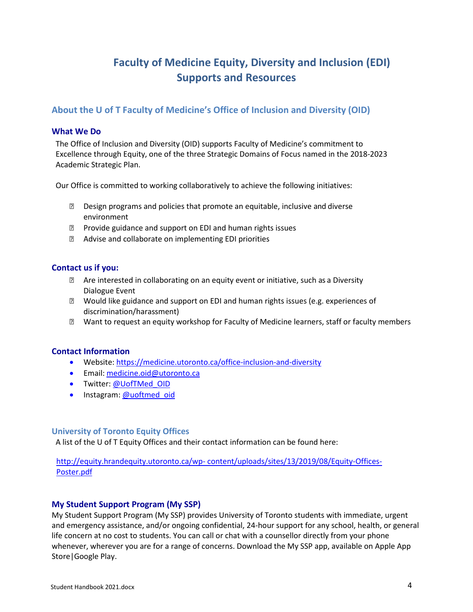# **Faculty of Medicine Equity, Diversity and Inclusion (EDI) Supports and Resources**

# <span id="page-3-0"></span>**About the U of T Faculty of Medicine's Office of Inclusion and Diversity (OID)**

#### <span id="page-3-1"></span>**What We Do**

The Office of Inclusion and Diversity (OID) supports Faculty of Medicine's commitment to Excellence through Equity, one of the three Strategic Domains of Focus named in the 2018-2023 Academic Strategic Plan.

Our Office is committed to working collaboratively to achieve the following initiatives:

- Design programs and policies that promote an equitable, inclusive and diverse environment
- **Provide guidance and support on EDI and human rights issues**
- Advise and collaborate on implementing EDI priorities

#### <span id="page-3-2"></span>**Contact us if you:**

- Are interested in collaborating on an equity event or initiative, such as a Diversity Dialogue Event
- Would like guidance and support on EDI and human rights issues (e.g. experiences of discrimination/harassment)
- Want to request an equity workshop for Faculty of Medicine learners, staff or faculty members

#### <span id="page-3-3"></span>**Contact Information**

- Website[: https://medicine.utoronto.ca/office-inclusion-and-diversity](https://medicine.utoronto.ca/office-inclusion-and-diversity)
- Email: [medicine.oid@utoronto.ca](mailto:medicine.oid@utoronto.ca?subject=New%20Staff%20Orientation)
- Twitter: @UofTMed OID
- Instagram[: @uoftmed\\_oid](https://www.instagram.com/uoftmed_oid/)

#### <span id="page-3-4"></span>**University of Toronto Equity Offices**

A list of the U of T Equity Offices and their contact information can be found here:

http://equity.hrandequity.utoronto.ca/wp- [content/uploads/sites/13/2019/08/Equity-Offices-](http://equity.hrandequity.utoronto.ca/wp-%20content/uploads/sites/13/2019/08/Equity-Offices-Poster.pdf)[Poster.pdf](http://equity.hrandequity.utoronto.ca/wp-%20content/uploads/sites/13/2019/08/Equity-Offices-Poster.pdf)

#### <span id="page-3-5"></span>**My Student Support Program (My SSP)**

My Student Support Program (My SSP) provides University of Toronto students with immediate, urgent and emergency assistance, and/or ongoing confidential, 24-hour support for any school, health, or general life concern at no cost to students. You can call or chat with a counsellor directly from your phone whenever, wherever you are for a range of concerns. Download the My SSP app, available on Apple App Store|Google Play.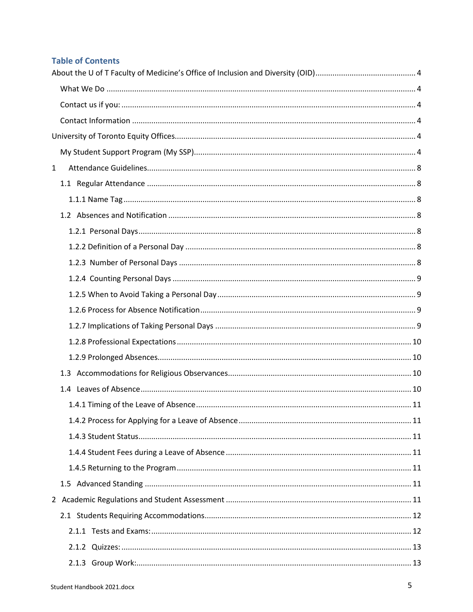# **Table of Contents**

| $\mathbf{1}$ |  |  |  |  |
|--------------|--|--|--|--|
|              |  |  |  |  |
|              |  |  |  |  |
|              |  |  |  |  |
|              |  |  |  |  |
|              |  |  |  |  |
|              |  |  |  |  |
|              |  |  |  |  |
|              |  |  |  |  |
|              |  |  |  |  |
|              |  |  |  |  |
|              |  |  |  |  |
|              |  |  |  |  |
|              |  |  |  |  |
|              |  |  |  |  |
|              |  |  |  |  |
|              |  |  |  |  |
|              |  |  |  |  |
|              |  |  |  |  |
|              |  |  |  |  |
|              |  |  |  |  |
|              |  |  |  |  |
|              |  |  |  |  |
|              |  |  |  |  |
|              |  |  |  |  |
|              |  |  |  |  |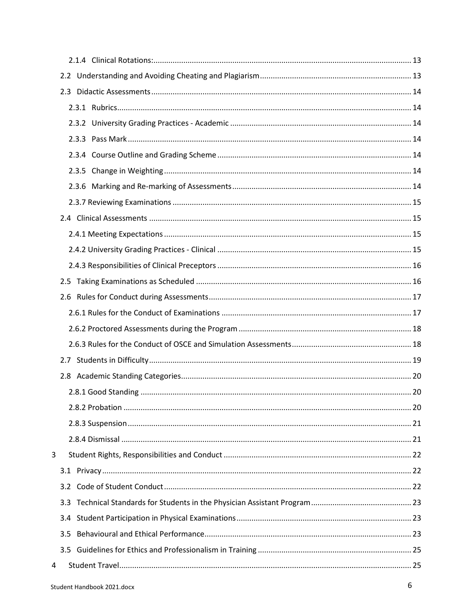| 3 |     |  |
|---|-----|--|
|   |     |  |
|   | 3.2 |  |
|   | 3.3 |  |
|   | 3.4 |  |
|   | 3.5 |  |
|   |     |  |
| 4 |     |  |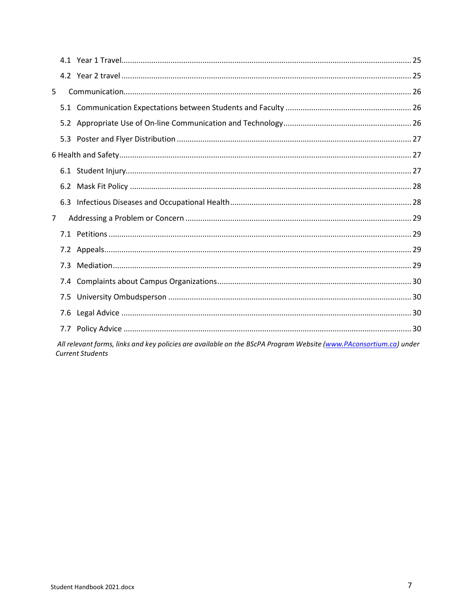| 5           |     |                                                                                                                   |
|-------------|-----|-------------------------------------------------------------------------------------------------------------------|
|             |     |                                                                                                                   |
|             |     |                                                                                                                   |
|             |     |                                                                                                                   |
|             |     |                                                                                                                   |
|             |     |                                                                                                                   |
|             |     |                                                                                                                   |
|             |     |                                                                                                                   |
| $7^{\circ}$ |     |                                                                                                                   |
|             |     |                                                                                                                   |
|             |     |                                                                                                                   |
|             | 7.3 |                                                                                                                   |
|             |     |                                                                                                                   |
|             |     |                                                                                                                   |
|             |     |                                                                                                                   |
|             |     |                                                                                                                   |
|             |     | All relevant forms, links and key policies are available on the BScPA Program Website (www.PAconsortium.ca) under |

sey pi rogram Website <u>(<mark>w</mark></u>  $\overline{u}$ Current Students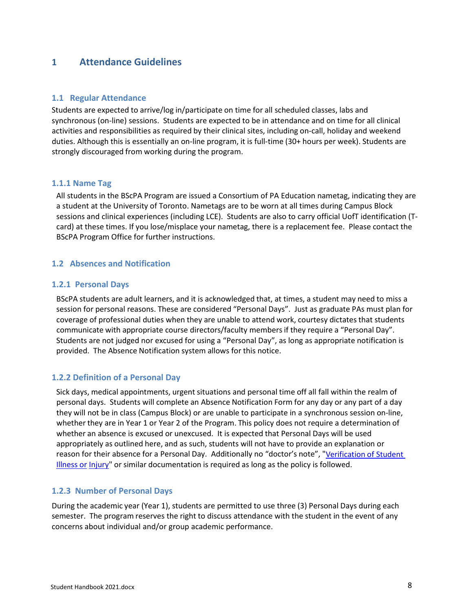# <span id="page-7-0"></span>**1 Attendance Guidelines**

#### <span id="page-7-1"></span>**1.1 Regular Attendance**

Students are expected to arrive/log in/participate on time for all scheduled classes, labs and synchronous (on-line) sessions. Students are expected to be in attendance and on time for all clinical activities and responsibilities as required by their clinical sites, including on-call, holiday and weekend duties. Although this is essentially an on-line program, it is full-time (30+ hours per week). Students are strongly discouraged from working during the program.

#### <span id="page-7-2"></span>**1.1.1 Name Tag**

All students in the BScPA Program are issued a Consortium of PA Education nametag, indicating they are a student at the University of Toronto. Nametags are to be worn at all times during Campus Block sessions and clinical experiences (including LCE). Students are also to carry official UofT identification (Tcard) at these times. If you lose/misplace your nametag, there is a replacement fee. Please contact the BScPA Program Office for further instructions.

#### <span id="page-7-3"></span>**1.2 Absences and Notification**

#### <span id="page-7-4"></span>**1.2.1 Personal Days**

BScPA students are adult learners, and it is acknowledged that, at times, a student may need to miss a session for personal reasons. These are considered "Personal Days". Just as graduate PAs must plan for coverage of professional duties when they are unable to attend work, courtesy dictates that students communicate with appropriate course directors/faculty membersif they require a "Personal Day". Students are not judged nor excused for using a "Personal Day", as long as appropriate notification is provided. The Absence Notification system allows for this notice.

#### <span id="page-7-5"></span>**1.2.2 Definition of a Personal Day**

Sick days, medical appointments, urgent situations and personal time off all fall within the realm of personal days. Students will complete an Absence Notification Form for any day or any part of a day they will not be in class (Campus Block) or are unable to participate in a synchronous session on-line, whether they are in Year 1 or Year 2 of the Program. This policy does not require a determination of whether an absence is excused or unexcused. It is expected that Personal Days will be used appropriately as outlined here, and as such, students will not have to provide an explanation or reason for their absence for a Personal Day. Additionally no "doctor's note", ["Verification](http://www.illnessverification.utoronto.ca/) of Student [Illness](http://www.illnessverification.utoronto.ca/) or [Injury"](http://www.illnessverification.utoronto.ca/) or similar documentation is required as long as the policy is followed.

#### <span id="page-7-6"></span>**1.2.3 Number of Personal Days**

During the academic year (Year 1), students are permitted to use three (3) Personal Days during each semester. The program reserves the right to discuss attendance with the student in the event of any concerns about individual and/or group academic performance.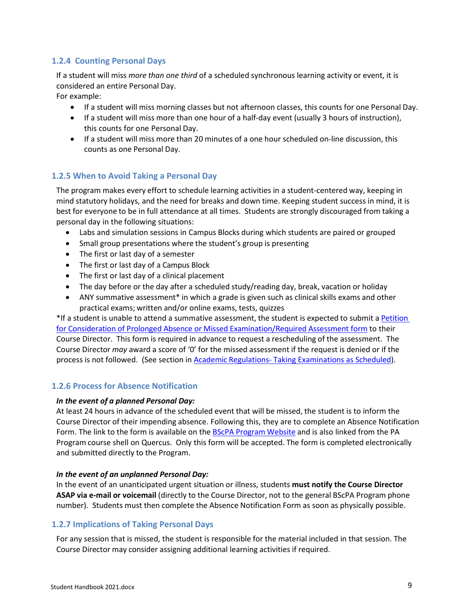#### <span id="page-8-0"></span>**1.2.4 Counting Personal Days**

If a student will miss *more than one third* of a scheduled synchronous learning activity or event, it is considered an entire Personal Day.

For example:

- If a student will miss morning classes but not afternoon classes, this counts for one Personal Day.
- If a student will miss more than one hour of a half-day event (usually 3 hours of instruction), this counts for one Personal Day.
- If a student will miss more than 20 minutes of a one hour scheduled on-line discussion, this counts as one Personal Day.

#### <span id="page-8-1"></span>**1.2.5 When to Avoid Taking a Personal Day**

The program makes every effort to schedule learning activities in a student-centered way, keeping in mind statutory holidays, and the need for breaks and down time. Keeping student success in mind, it is best for everyone to be in full attendance at all times. Students are strongly discouraged from taking a personal day in the following situations:

- Labs and simulation sessions in Campus Blocks during which students are paired or grouped
- Small group presentations where the student's group is presenting
- The first or last day of a semester
- The first or last day of a Campus Block
- The first or last day of a clinical placement
- The day before or the day after a scheduled study/reading day, break, vacation or holiday
- ANY summative assessment\* in which a grade is given such as clinical skills exams and other practical exams; written and/or online exams, tests, quizzes

\*If a student is unable to attend a summative assessment, the student is expected to submit [a Petition](http://www.paconsortium.ca/forms)  [for Consideration of Prolonged Absence or Missed Examination/Required Assessment form](http://www.paconsortium.ca/forms) to their Course Director. This form is required in advance to request a rescheduling of the assessment. The Course Director *may* award a score of '0' for the missed assessment if the request is denied or if the process is not followed. (See section in Academic Regulations- [Taking Examinations](#page-15-2) as Scheduled).

#### <span id="page-8-2"></span>**1.2.6 Process for Absence Notification**

#### *In the event of a planned Personal Day:*

At least 24 hours in advance of the scheduled event that will be missed, the student is to inform the Course Director of their impending absence. Following this, they are to complete an Absence Notification Form. The link to the form is available on the BScPA [Program](https://paconsortium.ca/forms) Website and is also linked from the PA Program course shell on Quercus. Only this form will be accepted. The form is completed electronically and submitted directly to the Program.

#### *In the event of an unplanned Personal Day:*

In the event of an unanticipated urgent situation or illness, students **must notify the Course Director ASAP via e-mail or voicemail** (directly to the Course Director, not to the general BScPA Program phone number). Students must then complete the Absence Notification Form as soon as physically possible.

#### <span id="page-8-3"></span>**1.2.7 Implications of Taking Personal Days**

For any session that is missed, the student is responsible for the material included in that session. The Course Director may consider assigning additional learning activities if required.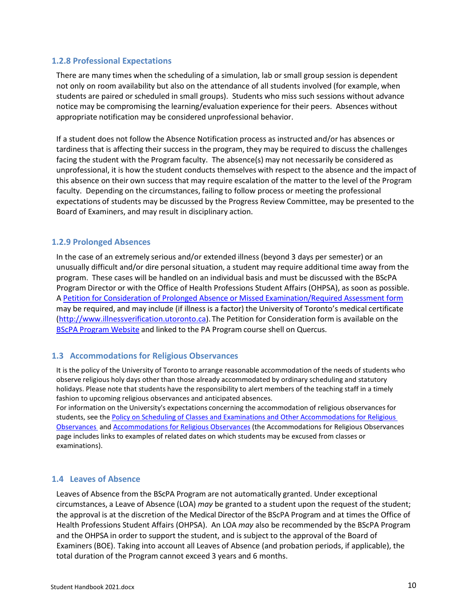#### <span id="page-9-0"></span>**1.2.8 Professional Expectations**

There are many times when the scheduling of a simulation, lab or small group session is dependent not only on room availability but also on the attendance of all students involved (for example, when students are paired or scheduled in small groups). Students who miss such sessions without advance notice may be compromising the learning/evaluation experience for their peers. Absences without appropriate notification may be considered unprofessional behavior.

If a student does not follow the Absence Notification process as instructed and/or has absences or tardiness that is affecting their success in the program, they may be required to discuss the challenges facing the student with the Program faculty. The absence(s) may not necessarily be considered as unprofessional, it is how the student conducts themselves with respect to the absence and the impact of this absence on their own success that may require escalation of the matter to the level of the Program faculty. Depending on the circumstances, failing to follow process or meeting the professional expectations of students may be discussed by the Progress Review Committee, may be presented to the Board of Examiners, and may result in disciplinary action.

#### <span id="page-9-1"></span>**1.2.9 Prolonged Absences**

In the case of an extremely serious and/or extended illness (beyond 3 days per semester) or an unusually difficult and/or dire personal situation, a student may require additional time away from the program. These cases will be handled on an individual basis and must be discussed with the BScPA Program Director or with the Office of Health Professions Student Affairs (OHPSA), as soon as possible. A [Petition for Consideration of Prolonged Absence or Missed Examination/Required Assessment form](http://www.paconsortium.ca/forms) may be required, and may include (if illness is a factor) the University of Toronto's medical certificate [\(http://www.illnessverification.utoronto.ca\)](http://www.illnessverification.utoronto.ca/). The Petition for Consideration form is available on the **BScPA [Program](https://paconsortium.ca/forms) Website and linked to the PA Program course shell on Quercus.** 

#### <span id="page-9-2"></span>**1.3 Accommodations for Religious Observances**

It is the policy of the University of Toronto to arrange reasonable accommodation of the needs of students who observe religious holy days other than those already accommodated by ordinary scheduling and statutory holidays. Please note that students have the responsibility to alert members of the teaching staff in a timely fashion to upcoming religious observances and anticipated absences.

For information on the University's expectations concerning the accommodation of religious observances for students, see the Policy on Scheduling of Classes and Examinations and Other [Accommodations](https://governingcouncil.utoronto.ca/secretariat/policies/religious-observances-policy-scheduling-classes-and-examinations-and-other) for Religious [Observances](https://governingcouncil.utoronto.ca/secretariat/policies/religious-observances-policy-scheduling-classes-and-examinations-and-other) an[d Accommodations for Religious Observances](http://www.viceprovoststudents.utoronto.ca/publicationsandpolicies/guidelines/religiousobservances.htm) (the Accommodations for Religious Observances page includes links to examples of related dates on which students may be excused from classes or examinations).

#### <span id="page-9-3"></span>**1.4 Leaves of Absence**

Leaves of Absence from the BScPA Program are not automatically granted. Under exceptional circumstances, a Leave of Absence (LOA) *may* be granted to a student upon the request of the student; the approval is at the discretion of the Medical Director of the BScPA Program and at times the Office of Health Professions Student Affairs (OHPSA). An LOA *may* also be recommended by the BScPA Program and the OHPSA in order to support the student, and is subject to the approval of the Board of Examiners (BOE). Taking into account all Leaves of Absence (and probation periods, if applicable), the total duration of the Program cannot exceed 3 years and 6 months.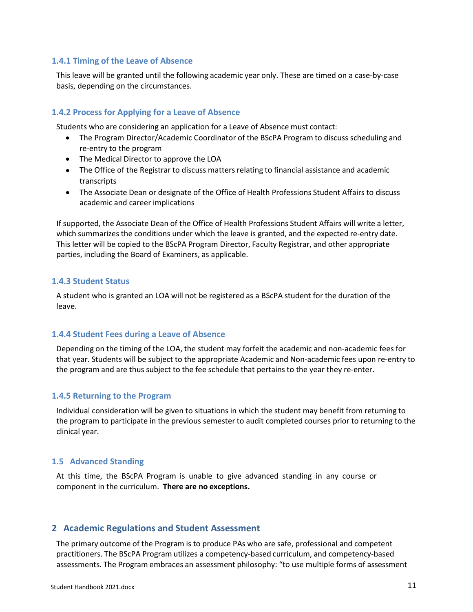#### <span id="page-10-0"></span>**1.4.1 Timing of the Leave of Absence**

This leave will be granted until the following academic year only. These are timed on a case-by-case basis, depending on the circumstances.

#### <span id="page-10-1"></span>**1.4.2 Process for Applying for a Leave of Absence**

Students who are considering an application for a Leave of Absence must contact:

- The Program Director/Academic Coordinator of the BScPA Program to discuss scheduling and re-entry to the program
- The Medical Director to approve the LOA
- The Office of the Registrar to discuss matters relating to financial assistance and academic transcripts
- The Associate Dean or designate of the Office of Health Professions Student Affairs to discuss academic and career implications

If supported, the Associate Dean of the Office of Health Professions Student Affairs will write a letter, which summarizes the conditions under which the leave is granted, and the expected re-entry date. This letter will be copied to the BScPA Program Director, Faculty Registrar, and other appropriate parties, including the Board of Examiners, as applicable.

#### <span id="page-10-2"></span>**1.4.3 Student Status**

A student who is granted an LOA will not be registered as a BScPA student for the duration of the leave.

#### <span id="page-10-3"></span>**1.4.4 Student Fees during a Leave of Absence**

Depending on the timing of the LOA, the student may forfeit the academic and non-academic fees for that year. Students will be subject to the appropriate Academic and Non-academic fees upon re-entry to the program and are thus subject to the fee schedule that pertains to the year they re-enter.

#### <span id="page-10-4"></span>**1.4.5 Returning to the Program**

Individual consideration will be given to situations in which the student may benefit from returning to the program to participate in the previous semester to audit completed courses prior to returning to the clinical year.

#### <span id="page-10-5"></span>**1.5 Advanced Standing**

At this time, the BScPA Program is unable to give advanced standing in any course or component in the curriculum. **There are no exceptions.**

#### <span id="page-10-6"></span>**2 Academic Regulations and Student Assessment**

The primary outcome of the Program is to produce PAs who are safe, professional and competent practitioners. The BScPA Program utilizes a competency-based curriculum, and competency-based assessments. The Program embraces an assessment philosophy: "to use multiple forms of assessment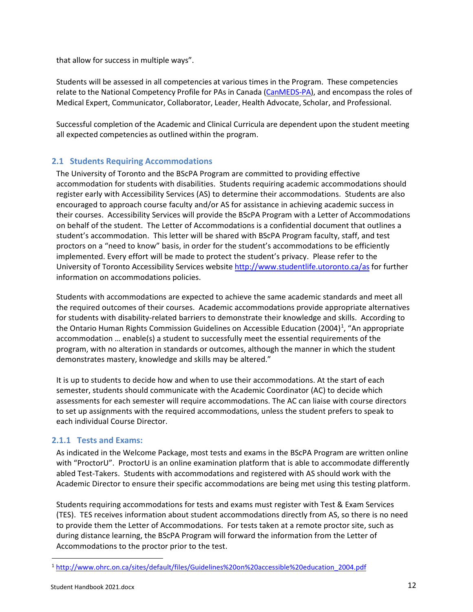that allow for success in multiple ways".

Students will be assessed in all competencies at various times in the Program. These competencies relate to the National Competency Profile for PAs in Canada [\(CanMEDS-PA\)](https://capa-acam.ca/about-pas/canmeds-pa/), and encompass the roles of Medical Expert, Communicator, Collaborator, Leader, Health Advocate, Scholar, and Professional.

Successful completion of the Academic and Clinical Curricula are dependent upon the student meeting all expected competencies as outlined within the program.

#### <span id="page-11-0"></span>**2.1 Students Requiring Accommodations**

The University of Toronto and the BScPA Program are committed to providing effective accommodation for students with disabilities. Students requiring academic accommodations should register early with Accessibility Services (AS) to determine their accommodations. Students are also encouraged to approach course faculty and/or AS for assistance in achieving academic success in their courses. Accessibility Services will provide the BScPA Program with a Letter of Accommodations on behalf of the student. The Letter of Accommodations is a confidential document that outlines a student's accommodation. This letter will be shared with BScPA Program faculty, staff, and test proctors on a "need to know" basis, in order for the student's accommodations to be efficiently implemented. Every effort will be made to protect the student's privacy. Please refer to the University of Toronto Accessibility Services website<http://www.studentlife.utoronto.ca/as> for further information on accommodations policies.

Students with accommodations are expected to achieve the same academic standards and meet all the required outcomes of their courses. Academic accommodations provide appropriate alternatives for students with disability-related barriers to demonstrate their knowledge and skills. According to the Ontario Human Rights Commission Guidelines on Accessible Education (2004)<sup>[1](#page-11-2)</sup>, "An appropriate accommodation … enable(s) a student to successfully meet the essential requirements of the program, with no alteration in standards or outcomes, although the manner in which the student demonstrates mastery, knowledge and skills may be altered."

It is up to students to decide how and when to use their accommodations. At the start of each semester, students should communicate with the Academic Coordinator (AC) to decide which assessments for each semester will require accommodations. The AC can liaise with course directors to set up assignments with the required accommodations, unless the student prefers to speak to each individual Course Director.

#### <span id="page-11-1"></span>**2.1.1 Tests and Exams:**

As indicated in the Welcome Package, most tests and exams in the BScPA Program are written online with "ProctorU". ProctorU is an online examination platform that is able to accommodate differently abled Test-Takers. Students with accommodations and registered with AS should work with the Academic Director to ensure their specific accommodations are being met using this testing platform.

Students requiring accommodations for tests and exams must register with Test & Exam Services (TES). TES receives information about student accommodations directly from AS, so there is no need to provide them the Letter of Accommodations. For tests taken at a remote proctor site, such as during distance learning, the BScPA Program will forward the information from the Letter of Accommodations to the proctor prior to the test.

<span id="page-11-2"></span> <sup>1</sup> [http://www.ohrc.on.ca/sites/default/files/Guidelines%20on%20accessible%20education\\_2004.pdf](http://www.ohrc.on.ca/sites/default/files/Guidelines%20on%20accessible%20education_2004.pdf)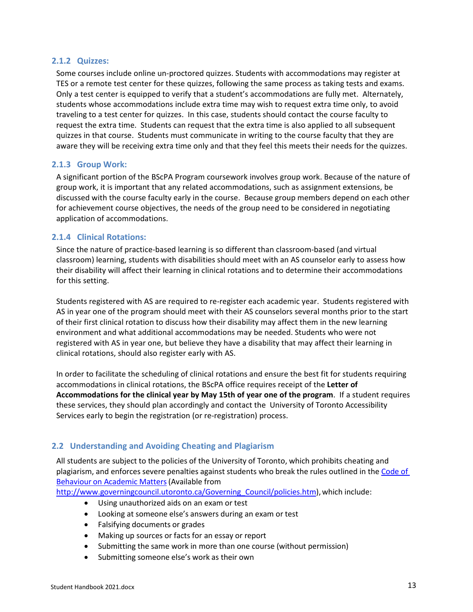#### <span id="page-12-0"></span>**2.1.2 Quizzes:**

Some courses include online un-proctored quizzes. Students with accommodations may register at TES or a remote test center for these quizzes, following the same process as taking tests and exams. Only a test center is equipped to verify that a student's accommodations are fully met. Alternately, students whose accommodations include extra time may wish to request extra time only, to avoid traveling to a test center for quizzes. In this case, students should contact the course faculty to request the extra time. Students can request that the extra time is also applied to all subsequent quizzes in that course. Students must communicate in writing to the course faculty that they are aware they will be receiving extra time only and that they feel this meets their needs for the quizzes.

#### <span id="page-12-1"></span>**2.1.3 Group Work:**

A significant portion of the BScPA Program coursework involves group work. Because of the nature of group work, it is important that any related accommodations, such as assignment extensions, be discussed with the course faculty early in the course. Because group members depend on each other for achievement course objectives, the needs of the group need to be considered in negotiating application of accommodations.

#### <span id="page-12-2"></span>**2.1.4 Clinical Rotations:**

Since the nature of practice-based learning is so different than classroom-based (and virtual classroom) learning, students with disabilities should meet with an AS counselor early to assess how their disability will affect their learning in clinical rotations and to determine their accommodations for this setting.

Students registered with AS are required to re-register each academic year. Students registered with AS in year one of the program should meet with their AS counselors several months prior to the start of their first clinical rotation to discuss how their disability may affect them in the new learning environment and what additional accommodations may be needed. Students who were not registered with AS in year one, but believe they have a disability that may affect their learning in clinical rotations, should also register early with AS.

In order to facilitate the scheduling of clinical rotations and ensure the best fit for students requiring accommodations in clinical rotations, the BScPA office requires receipt of the **Letter of Accommodations for the clinical year by May 15th of year one of the program**. If a student requires these services, they should plan accordingly and contact the [University of Toronto Accessibility](https://www.studentlife.utoronto.ca/as)  [Services](https://www.studentlife.utoronto.ca/as) early to begin the registration (or re-registration) process.

#### <span id="page-12-3"></span>**2.2 Understanding and Avoiding Cheating and Plagiarism**

All students are subject to the policies of the University of Toronto, which prohibits cheating and plagiarism, and enforces severe penalties against students who break the rules outlined in the [Code](http://www.governingcouncil.utoronto.ca/Assets/Governing+Council+Digital+Assets/Policies/PDF/ppjun011995.pdf) of [Behaviour](http://www.governingcouncil.utoronto.ca/Assets/Governing+Council+Digital+Assets/Policies/PDF/ppjun011995.pdf) on Academic Matters(Available from

[http://www.governingcouncil.utoronto.ca/Governing\\_Council/policies.htm\)](http://www.governingcouncil.utoronto.ca/Governing_Council/policies.htm), which include:

- Using unauthorized aids on an exam or test
- Looking at someone else's answers during an exam or test
- Falsifying documents or grades
- Making up sources or facts for an essay or report
- Submitting the same work in more than one course (without permission)
- Submitting someone else's work as their own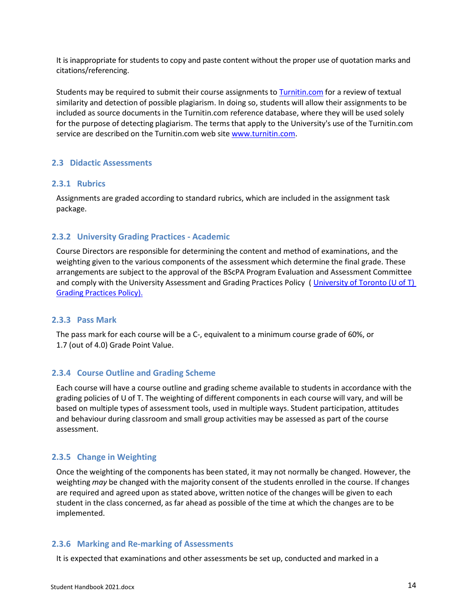It is inappropriate for students to copy and paste content without the proper use of quotation marks and citations/referencing.

Students may be required to submit their course assignments to **[Turnitin.com](http://turnitin.com/)** for a review of textual similarity and detection of possible plagiarism. In doing so, students will allow their assignments to be included as source documents in the Turnitin.com reference database, where they will be used solely for the purpose of detecting plagiarism. The terms that apply to the University's use of the Turnitin.com service are described on the Turnitin.com web site [www.turnitin.com.](http://www.turnitin.com/)

#### <span id="page-13-0"></span>**2.3 Didactic Assessments**

#### <span id="page-13-1"></span>**2.3.1 Rubrics**

Assignments are graded according to standard rubrics, which are included in the assignment task package.

#### <span id="page-13-2"></span>**2.3.2 University Grading Practices - Academic**

Course Directors are responsible for determining the content and method of examinations, and the weighting given to the various components of the assessment which determine the final grade. These arrangements are subject to the approval of the BScPA Program Evaluation and Assessment Committee and comply with the University Assessment and Grading Practices Policy (University [of Toronto](https://governingcouncil.utoronto.ca/secretariat/policies/grading-practices-policy-university-assessment-and-january-26-2012) (U of T) Grading [Practices](https://governingcouncil.utoronto.ca/secretariat/policies/grading-practices-policy-university-assessment-and-january-26-2012) Policy).

#### <span id="page-13-3"></span>**2.3.3 Pass Mark**

The pass mark for each course will be a C-, equivalent to a minimum course grade of 60%, or 1.7 (out of 4.0) Grade Point Value.

#### <span id="page-13-4"></span>**2.3.4 Course Outline and Grading Scheme**

Each course will have a course outline and grading scheme available to students in accordance with the grading policies of U of T. The weighting of different components in each course will vary, and will be based on multiple types of assessment tools, used in multiple ways. Student participation, attitudes and behaviour during classroom and small group activities may be assessed as part of the course assessment.

#### <span id="page-13-5"></span>**2.3.5 Change in Weighting**

Once the weighting of the components has been stated, it may not normally be changed. However, the weighting *may* be changed with the majority consent of the students enrolled in the course. If changes are required and agreed upon as stated above, written notice of the changes will be given to each student in the class concerned, as far ahead as possible of the time at which the changes are to be implemented.

#### <span id="page-13-6"></span>**2.3.6 Marking and Re-marking of Assessments**

It is expected that examinations and other assessments be set up, conducted and marked in a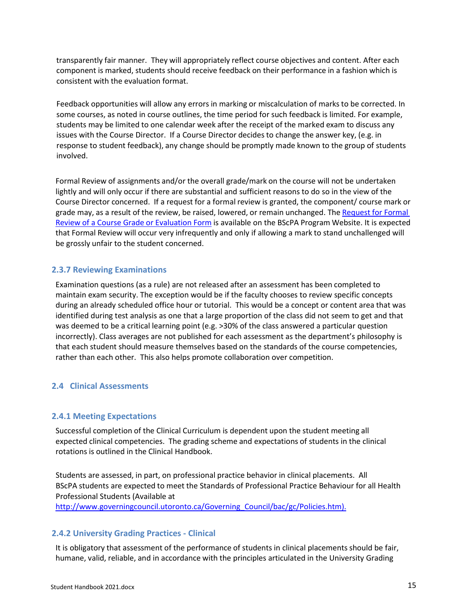transparently fair manner. They will appropriately reflect course objectives and content. After each component is marked, students should receive feedback on their performance in a fashion which is consistent with the evaluation format.

Feedback opportunities will allow any errors in marking or miscalculation of marks to be corrected. In some courses, as noted in course outlines, the time period for such feedback is limited. For example, students may be limited to one calendar week after the receipt of the marked exam to discuss any issues with the Course Director. If a Course Director decides to change the answer key, (e.g. in response to student feedback), any change should be promptly made known to the group of students involved.

Formal Review of assignments and/or the overall grade/mark on the course will not be undertaken lightly and will only occur if there are substantial and sufficient reasons to do so in the view of the Course Director concerned. If a request for a formal review is granted, the component/ course mark or grade may, as a result of the review, be raised, lowered, or remain unchanged. The Request [for Formal](http://www.paconsortium.ca/forms) Review of a Course Grade or [Evaluation](http://www.paconsortium.ca/forms) Form is available on the BScPA Program Website. It is expected that Formal Review will occur very infrequently and only if allowing a mark to stand unchallenged will be grossly unfair to the student concerned.

#### <span id="page-14-0"></span>**2.3.7 Reviewing Examinations**

Examination questions (as a rule) are not released after an assessment has been completed to maintain exam security. The exception would be if the faculty chooses to review specific concepts during an already scheduled office hour or tutorial. This would be a concept or content area that was identified during test analysis as one that a large proportion of the class did not seem to get and that was deemed to be a critical learning point (e.g. >30% of the class answered a particular question incorrectly). Class averages are not published for each assessment as the department's philosophy is that each student should measure themselves based on the standards of the course competencies, rather than each other. This also helps promote collaboration over competition.

#### <span id="page-14-1"></span>**2.4 Clinical Assessments**

#### <span id="page-14-2"></span>**2.4.1 Meeting Expectations**

Successful completion of the Clinical Curriculum is dependent upon the student meeting all expected clinical competencies. The grading scheme and expectations of students in the clinical rotations is outlined in the Clinical Handbook.

Students are assessed, in part, on professional practice behavior in clinical placements. All BScPA students are expected to meet the Standards of Professional Practice Behaviour for all Health Professional Students (Available at

[http://www.governingcouncil.utoronto.ca/Governing\\_Council/bac/gc/Policies.htm\).](https://governingcouncil.utoronto.ca/secretariat/policies/professional-practice-behaviour-all-health-professional-students-standards)

#### <span id="page-14-3"></span>**2.4.2 University Grading Practices - Clinical**

It is obligatory that assessment of the performance of students in clinical placements should be fair, humane, valid, reliable, and in accordance with the principles articulated in the University Grading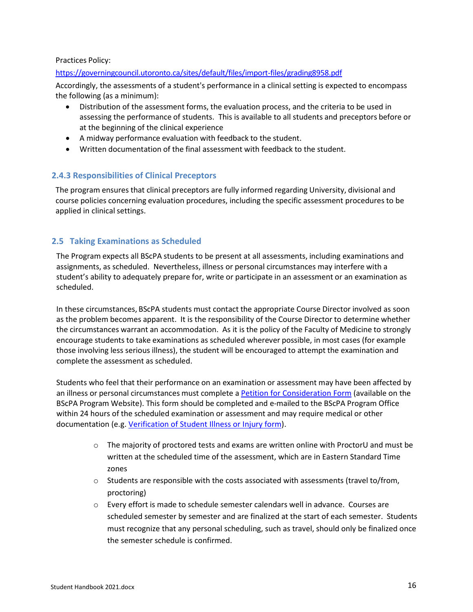#### Practices Policy:

#### <https://governingcouncil.utoronto.ca/sites/default/files/import-files/grading8958.pdf>

Accordingly, the assessments of a student's performance in a clinical setting is expected to encompass the following (as a minimum):

- Distribution of the assessment forms, the evaluation process, and the criteria to be used in assessing the performance of students. This is available to all students and preceptors before or at the beginning of the clinical experience
- A midway performance evaluation with feedback to the student.
- Written documentation of the final assessment with feedback to the student.

#### <span id="page-15-0"></span>**2.4.3 Responsibilities of Clinical Preceptors**

The program ensures that clinical preceptors are fully informed regarding University, divisional and course policies concerning evaluation procedures, including the specific assessment procedures to be applied in clinical settings.

#### <span id="page-15-2"></span><span id="page-15-1"></span>**2.5 Taking Examinations as Scheduled**

The Program expects all BScPA students to be present at all assessments, including examinations and assignments, as scheduled. Nevertheless, illness or personal circumstances may interfere with a student's ability to adequately prepare for, write or participate in an assessment or an examination as scheduled.

In these circumstances, BScPA students must contact the appropriate Course Director involved as soon as the problem becomes apparent. It is the responsibility of the Course Director to determine whether the circumstances warrant an accommodation. As it is the policy of the Faculty of Medicine to strongly encourage students to take examinations as scheduled wherever possible, in most cases (for example those involving less serious illness), the student will be encouraged to attempt the examination and complete the assessment as scheduled.

Students who feel that their performance on an examination or assessment may have been affected by an illness or personal circumstances must complete a [Petition for Consideration Form](https://www.paconsortium.ca/forms) (available on the BScPA Program Website). This form should be completed and e-mailed to the BScPA Program Office within 24 hours of the scheduled examination or assessment and may require medical or other documentation (e.g. [Verification of Student Illness or Injury form\)](http://www.illnessverification.utoronto.ca/index.php).

- $\circ$  The majority of proctored tests and exams are written online with ProctorU and must be written at the scheduled time of the assessment, which are in Eastern Standard Time zones
- $\circ$  Students are responsible with the costs associated with assessments (travel to/from, proctoring)
- $\circ$  Every effort is made to schedule semester calendars well in advance. Courses are scheduled semester by semester and are finalized at the start of each semester. Students must recognize that any personal scheduling, such as travel, should only be finalized once the semester schedule is confirmed.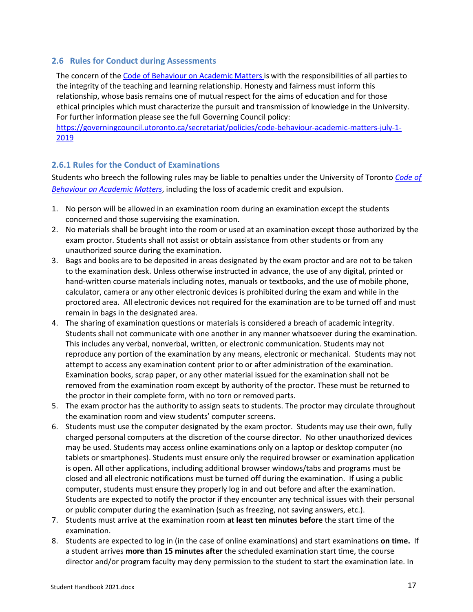#### <span id="page-16-0"></span>**2.6 Rules for Conduct during Assessments**

The concern of the Code of Behaviour [on Academic](https://governingcouncil.utoronto.ca/secretariat/policies/code-behaviour-academic-matters-july-1-2019) Matters is with the responsibilities of all parties to the integrity of the teaching and learning relationship. Honesty and fairness must inform this relationship, whose basis remains one of mutual respect for the aims of education and for those ethical principles which must characterize the pursuit and transmission of knowledge in the University. For further information please see the full Governing Council policy:

[https://governingcouncil.utoronto.ca/secretariat/policies/code-behaviour-academic-matters-july-1-](https://governingcouncil.utoronto.ca/secretariat/policies/code-behaviour-academic-matters-july-1-2019) [2019](https://governingcouncil.utoronto.ca/secretariat/policies/code-behaviour-academic-matters-july-1-2019)

#### <span id="page-16-1"></span>**2.6.1 Rules for the Conduct of Examinations**

Students who breech the following rules may be liable to penalties under the University of Toronto *[Code of](https://governingcouncil.utoronto.ca/sites/default/files/2019-08/Code%20of%20Behaviour%20on%20Academic%20Matters%20July%201%202019.pdf)  [Behaviour on Academic Matters](https://governingcouncil.utoronto.ca/sites/default/files/2019-08/Code%20of%20Behaviour%20on%20Academic%20Matters%20July%201%202019.pdf)*, including the loss of academic credit and expulsion.

- 1. No person will be allowed in an examination room during an examination except the students concerned and those supervising the examination.
- 2. No materials shall be brought into the room or used at an examination except those authorized by the exam proctor. Students shall not assist or obtain assistance from other students or from any unauthorized source during the examination.
- 3. Bags and books are to be deposited in areas designated by the exam proctor and are not to be taken to the examination desk. Unless otherwise instructed in advance, the use of any digital, printed or hand-written course materials including notes, manuals or textbooks, and the use of mobile phone, calculator, camera or any other electronic devices is prohibited during the exam and while in the proctored area. All electronic devices not required for the examination are to be turned off and must remain in bags in the designated area.
- 4. The sharing of examination questions or materials is considered a breach of academic integrity. Students shall not communicate with one another in any manner whatsoever during the examination. This includes any verbal, nonverbal, written, or electronic communication. Students may not reproduce any portion of the examination by any means, electronic or mechanical. Students may not attempt to access any examination content prior to or after administration of the examination. Examination books, scrap paper, or any other material issued for the examination shall not be removed from the examination room except by authority of the proctor. These must be returned to the proctor in their complete form, with no torn or removed parts.
- 5. The exam proctor has the authority to assign seats to students. The proctor may circulate throughout the examination room and view students' computer screens.
- 6. Students must use the computer designated by the exam proctor. Students may use their own, fully charged personal computers at the discretion of the course director. No other unauthorized devices may be used. Students may access online examinations only on a laptop or desktop computer (no tablets or smartphones). Students must ensure only the required browser or examination application is open. All other applications, including additional browser windows/tabs and programs must be closed and all electronic notifications must be turned off during the examination. If using a public computer, students must ensure they properly log in and out before and after the examination. Students are expected to notify the proctor if they encounter any technical issues with their personal or public computer during the examination (such as freezing, not saving answers, etc.).
- 7. Students must arrive at the examination room **at least ten minutes before** the start time of the examination.
- 8. Students are expected to log in (in the case of online examinations) and start examinations **on time.** If a student arrives **more than 15 minutes after** the scheduled examination start time, the course director and/or program faculty may deny permission to the student to start the examination late. In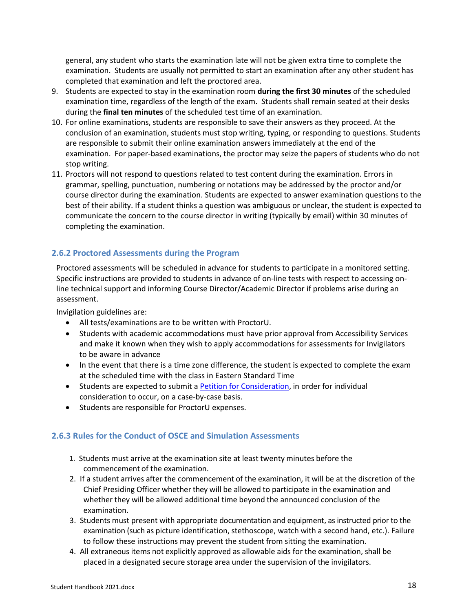general, any student who starts the examination late will not be given extra time to complete the examination. Students are usually not permitted to start an examination after any other student has completed that examination and left the proctored area.

- 9. Students are expected to stay in the examination room **during the first 30 minutes** of the scheduled examination time, regardless of the length of the exam. Students shall remain seated at their desks during the **final ten minutes** of the scheduled test time of an examination.
- 10. For online examinations, students are responsible to save their answers as they proceed. At the conclusion of an examination, students must stop writing, typing, or responding to questions. Students are responsible to submit their online examination answers immediately at the end of the examination. For paper-based examinations, the proctor may seize the papers of students who do not stop writing.
- 11. Proctors will not respond to questions related to test content during the examination. Errors in grammar, spelling, punctuation, numbering or notations may be addressed by the proctor and/or course director during the examination. Students are expected to answer examination questions to the best of their ability. If a student thinks a question was ambiguous or unclear, the student is expected to communicate the concern to the course director in writing (typically by email) within 30 minutes of completing the examination.

# <span id="page-17-0"></span>**2.6.2 Proctored Assessments during the Program**

Proctored assessments will be scheduled in advance for students to participate in a monitored setting. Specific instructions are provided to students in advance of on-line tests with respect to accessing online technical support and informing Course Director/Academic Director if problems arise during an assessment.

Invigilation guidelines are:

- All tests/examinations are to be written with ProctorU.
- Students with academic accommodations must have prior approval from Accessibility Services and make it known when they wish to apply accommodations for assessments for Invigilators to be aware in advance
- In the event that there is a time zone difference, the student is expected to complete the exam at the scheduled time with the class in Eastern Standard Time
- Students are expected to submit a Petition for [Consideration,](http://www.paconsortium.ca/forms) in order for individual consideration to occur, on a case-by-case basis.
- Students are responsible for ProctorU expenses.

# <span id="page-17-1"></span>**2.6.3 Rules for the Conduct of OSCE and Simulation Assessments**

- 1. Students must arrive at the examination site at least twenty minutes before the commencement of the examination.
- 2. If a student arrives after the commencement of the examination, it will be at the discretion of the Chief Presiding Officer whether they will be allowed to participate in the examination and whether they will be allowed additional time beyond the announced conclusion of the examination.
- 3. Students must present with appropriate documentation and equipment, as instructed prior to the examination (such as picture identification, stethoscope, watch with a second hand, etc.). Failure to follow these instructions may prevent the student from sitting the examination.
- 4. All extraneous items not explicitly approved as allowable aids for the examination, shall be placed in a designated secure storage area under the supervision of the invigilators.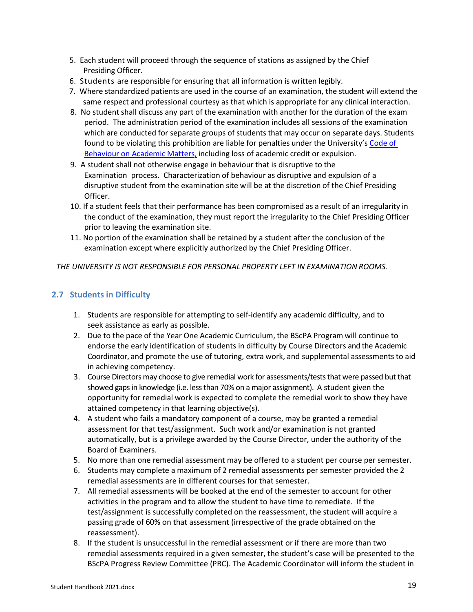- 5. Each student will proceed through the sequence of stations as assigned by the Chief Presiding Officer.
- 6. Students are responsible for ensuring that all information is written legibly.
- 7. Where standardized patients are used in the course of an examination, the student will extend the same respect and professional courtesy as that which is appropriate for any clinical interaction.
- 8. No student shall discuss any part of the examination with another for the duration of the exam period. The administration period of the examination includes all sessions of the examination which are conducted for separate groups of students that may occur on separate days. Students found to be violating this prohibition are liable for penalties under the University'[s Code](https://governingcouncil.utoronto.ca/sites/default/files/2019-08/Code%20of%20Behaviour%20on%20Academic%20Matters%20July%201%202019.pdf) of [Behaviour](https://governingcouncil.utoronto.ca/sites/default/files/2019-08/Code%20of%20Behaviour%20on%20Academic%20Matters%20July%201%202019.pdf) on Academic Matters, including loss of academic credit or expulsion.
- 9. A student shall not otherwise engage in behaviour that is disruptive to the Examination process. Characterization of behaviour as disruptive and expulsion of a disruptive student from the examination site will be at the discretion of the Chief Presiding Officer.
- 10. If a student feels that their performance has been compromised as a result of an irregularity in the conduct of the examination, they must report the irregularity to the Chief Presiding Officer prior to leaving the examination site.
- 11. No portion of the examination shall be retained by a student after the conclusion of the examination except where explicitly authorized by the Chief Presiding Officer.

*THE UNIVERSITY IS NOT RESPONSIBLE FOR PERSONAL PROPERTY LEFT IN EXAMINATION ROOMS.*

# <span id="page-18-0"></span>**2.7 Students in Difficulty**

- 1. Students are responsible for attempting to self-identify any academic difficulty, and to seek assistance as early as possible.
- 2. Due to the pace of the Year One Academic Curriculum, the BScPA Program will continue to endorse the early identification of students in difficulty by Course Directors and the Academic Coordinator, and promote the use of tutoring, extra work, and supplemental assessments to aid in achieving competency.
- 3. Course Directors may choose to give remedial work for assessments/tests that were passed but that showed gaps in knowledge (i.e. less than 70% on a major assignment). A student given the opportunity for remedial work is expected to complete the remedial work to show they have attained competency in that learning objective(s).
- 4. A student who fails a mandatory component of a course, may be granted a remedial assessment for that test/assignment. Such work and/or examination is not granted automatically, but is a privilege awarded by the Course Director, under the authority of the Board of Examiners.
- 5. No more than one remedial assessment may be offered to a student per course per semester.
- 6. Students may complete a maximum of 2 remedial assessments per semester provided the 2 remedial assessments are in different courses for that semester.
- 7. All remedial assessments will be booked at the end of the semester to account for other activities in the program and to allow the student to have time to remediate. If the test/assignment is successfully completed on the reassessment, the student will acquire a passing grade of 60% on that assessment (irrespective of the grade obtained on the reassessment).
- 8. If the student is unsuccessful in the remedial assessment or if there are more than two remedial assessments required in a given semester, the student's case will be presented to the BScPA Progress Review Committee (PRC). The Academic Coordinator will inform the student in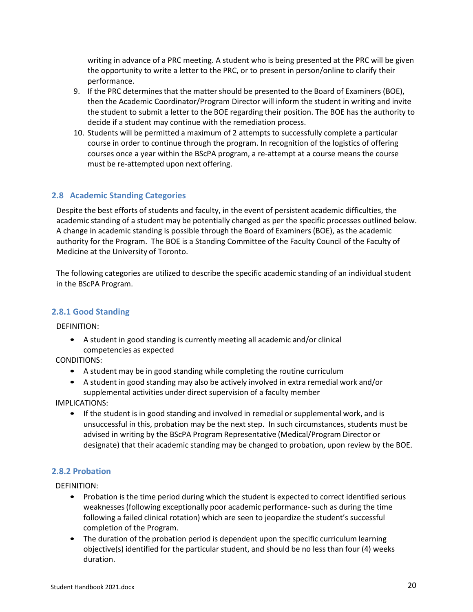writing in advance of a PRC meeting. A student who is being presented at the PRC will be given the opportunity to write a letter to the PRC, or to present in person/online to clarify their performance.

- 9. If the PRC determines that the matter should be presented to the Board of Examiners (BOE), then the Academic Coordinator/Program Director will inform the student in writing and invite the student to submit a letter to the BOE regarding their position. The BOE has the authority to decide if a student may continue with the remediation process.
- 10. Students will be permitted a maximum of 2 attempts to successfully complete a particular course in order to continue through the program. In recognition of the logistics of offering courses once a year within the BScPA program, a re-attempt at a course means the course must be re-attempted upon next offering.

# <span id="page-19-0"></span>**2.8 Academic Standing Categories**

Despite the best efforts of students and faculty, in the event of persistent academic difficulties, the academic standing of a student may be potentially changed as per the specific processes outlined below. A change in academic standing is possible through the Board of Examiners (BOE), as the academic authority for the Program. The BOE is a Standing Committee of the Faculty Council of the Faculty of Medicine at the University of Toronto.

The following categories are utilized to describe the specific academic standing of an individual student in the BScPA Program.

#### <span id="page-19-1"></span>**2.8.1 Good Standing**

DEFINITION:

• A student in good standing is currently meeting all academic and/or clinical competencies as expected

CONDITIONS:

- A student may be in good standing while completing the routine curriculum
- A student in good standing may also be actively involved in extra remedial work and/or supplemental activities under direct supervision of a faculty member

IMPLICATIONS:

• If the student is in good standing and involved in remedial or supplemental work, and is unsuccessful in this, probation may be the next step. In such circumstances, students must be advised in writing by the BScPA Program Representative (Medical/Program Director or designate) that their academic standing may be changed to probation, upon review by the BOE.

#### <span id="page-19-2"></span>**2.8.2 Probation**

DEFINITION:

- Probation is the time period during which the student is expected to correct identified serious weaknesses(following exceptionally poor academic performance-such as during the time following a failed clinical rotation) which are seen to jeopardize the student's successful completion of the Program.
- The duration of the probation period is dependent upon the specific curriculum learning objective(s) identified for the particular student, and should be no less than four (4) weeks duration.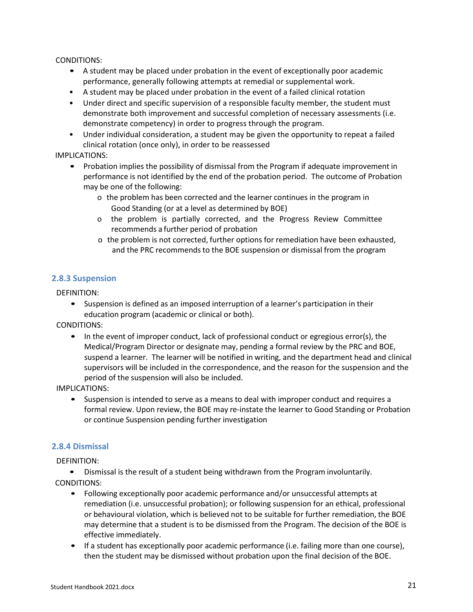CONDITIONS:

- A student may be placed under probation in the event of exceptionally poor academic performance, generally following attempts at remedial or supplemental work.
- A student may be placed under probation in the event of a failed clinical rotation
- Under direct and specific supervision of a responsible faculty member, the student must demonstrate both improvement and successful completion of necessary assessments (i.e. demonstrate competency) in order to progress through the program.
- Under individual consideration, a student may be given the opportunity to repeat a failed clinical rotation (once only), in order to be reassessed

#### IMPLICATIONS:

- Probation implies the possibility of dismissal from the Program if adequate improvement in performance is not identified by the end of the probation period. The outcome of Probation may be one of the following:
	- o the problem has been corrected and the learner continues in the program in Good Standing (or at a level as determined by BOE)
	- o the problem is partially corrected, and the Progress Review Committee recommends a further period of probation
	- o the problem is not corrected, further options for remediation have been exhausted, and the PRC recommends to the BOE suspension or dismissal from the program

#### <span id="page-20-0"></span>**2.8.3 Suspension**

DEFINITION:

• Suspension is defined as an imposed interruption of a learner's participation in their education program (academic or clinical or both).

CONDITIONS:

• In the event of improper conduct, lack of professional conduct or egregious error(s), the Medical/Program Director or designate may, pending a formal review by the PRC and BOE, suspend a learner. The learner will be notified in writing, and the department head and clinical supervisors will be included in the correspondence, and the reason for the suspension and the period of the suspension will also be included.

IMPLICATIONS:

• Suspension is intended to serve as a means to deal with improper conduct and requires a formal review. Upon review, the BOE may re-instate the learner to Good Standing or Probation or continue Suspension pending further investigation

#### <span id="page-20-1"></span>**2.8.4 Dismissal**

DEFINITION:

• Dismissal is the result of a student being withdrawn from the Program involuntarily.

- CONDITIONS:
	- Following exceptionally poor academic performance and/or unsuccessful attempts at remediation (i.e. unsuccessful probation); or following suspension for an ethical, professional or behavioural violation, which is believed not to be suitable for further remediation, the BOE may determine that a student is to be dismissed from the Program. The decision of the BOE is effective immediately.
	- If a student has exceptionally poor academic performance (i.e. failing more than one course), then the student may be dismissed without probation upon the final decision of the BOE.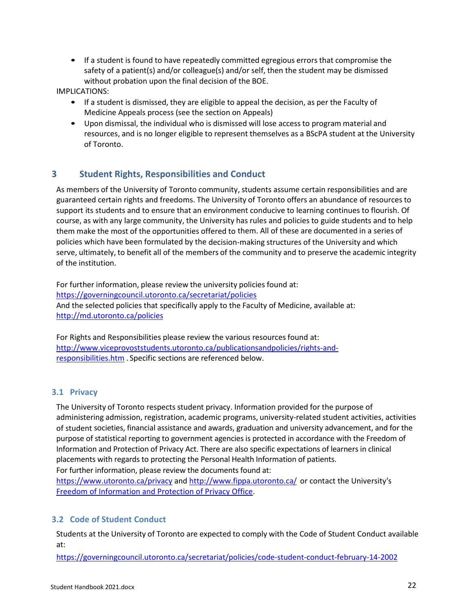• If a student is found to have repeatedly committed egregious errors that compromise the safety of a patient(s) and/or colleague(s) and/or self, then the student may be dismissed without probation upon the final decision of the BOE.

IMPLICATIONS:

- If a student is dismissed, they are eligible to appeal the decision, as per the Faculty of Medicine Appeals process (see the section on Appeals)
- Upon dismissal, the individual who is dismissed will lose access to program material and resources, and is no longer eligible to represent themselves as a BScPA student at the University of Toronto.

# <span id="page-21-0"></span>**3 Student Rights, Responsibilities and Conduct**

As members of the University of Toronto community, students assume certain responsibilities and are guaranteed certain rights and freedoms. The University of Toronto offers an abundance of resources to support its students and to ensure that an environment conducive to learning continues to flourish. Of course, as with any large community, the University has rules and policies to guide students and to help them make the most of the opportunities offered to them. All of these are documented in a series of policies which have been formulated by the decision-making structures of the University and which serve, ultimately, to benefit all of the members of the community and to preserve the academic integrity of the institution.

For further information, please review the university policies found at: <https://governingcouncil.utoronto.ca/secretariat/policies> And the selected policies that specifically apply to the Faculty of Medicine, available at: <http://md.utoronto.ca/policies>

For Rights and Responsibilities please review the various resources found at: [http://www.viceprovoststudents.utoronto.ca/publicationsandpolicies/rights-and](http://www.viceprovoststudents.utoronto.ca/publicationsandpolicies/rights-and-responsibilities.htm)[responsibilities.htm](http://www.viceprovoststudents.utoronto.ca/publicationsandpolicies/rights-and-responsibilities.htm) . Specific sections are referenced below.

#### <span id="page-21-1"></span>**3.1 Privacy**

The University of Toronto respects student privacy. Information provided for the purpose of administering admission, registration, academic programs, university-related student activities, activities of student societies, financial assistance and awards, graduation and university advancement, and for the purpose of statistical reporting to government agencies is protected in accordance with the Freedom of Information and Protection of Privacy Act. There are also specific expectations of learners in clinical placements with regards to protecting the Personal Health Information of patients.

For further information, please review the documents found at:

<https://www.utoronto.ca/privacy> and <http://www.fippa.utoronto.ca/> or contact the University's Freedom of [Information and Protection of Privacy Office.](http://www.fippa.utoronto.ca/about/contacts.htm)

#### <span id="page-21-2"></span>**3.2 Code of Student Conduct**

Students at the University of Toronto are expected to comply with the Code of Student Conduct available at:

<https://governingcouncil.utoronto.ca/secretariat/policies/code-student-conduct-february-14-2002>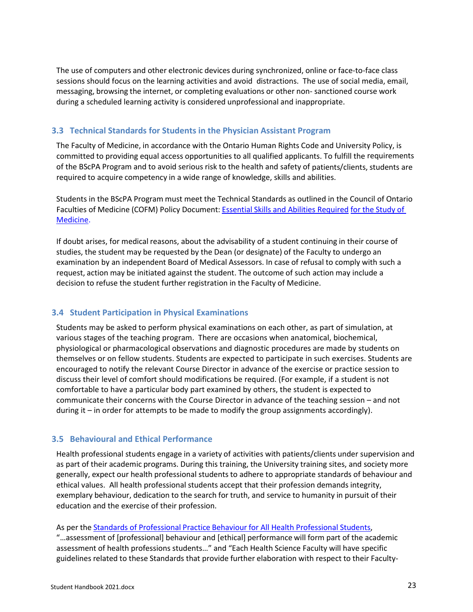The use of computers and other electronic devices during synchronized, online or face-to-face class sessions should focus on the learning activities and avoid distractions. The use of social media, email, messaging, browsing the internet, or completing evaluations or other non- sanctioned course work during a scheduled learning activity is considered unprofessional and inappropriate.

#### <span id="page-22-0"></span>**3.3 Technical Standards for Students in the Physician Assistant Program**

The Faculty of Medicine, in accordance with the Ontario Human Rights Code and University Policy, is committed to providing equal access opportunities to all qualified applicants. To fulfill the requirements of the BScPA Program and to avoid serious risk to the health and safety of patients/clients, students are required to acquire competency in a wide range of knowledge, skills and abilities.

Students in the BScPA Program must meet the Technical Standards as outlined in the Council of Ontario Faculties of Medicine (COFM) Policy Document: Essential Skills [and Abilities Required](http://cou.on.ca/wp-content/uploads/2003/11/COU-Essential-Skills-Abilities-Required-for-Entry-to-Medical-Program.pdf) for the [Study](http://cou.on.ca/wp-content/uploads/2003/11/COU-Essential-Skills-Abilities-Required-for-Entry-to-Medical-Program.pdf) of [Medicine.](https://cou.ca/wp-content/uploads/2003/11/COU-Essential-Skills-and-Abilities-Required-for-the-Study-of-Medicine.pdf)

If doubt arises, for medical reasons, about the advisability of a student continuing in their course of studies, the student may be requested by the Dean (or designate) of the Faculty to undergo an examination by an independent Board of Medical Assessors. In case of refusal to comply with such a request, action may be initiated against the student. The outcome of such action may include a decision to refuse the student further registration in the Faculty of Medicine.

#### <span id="page-22-1"></span>**3.4 Student Participation in Physical Examinations**

Students may be asked to perform physical examinations on each other, as part of simulation, at various stages of the teaching program. There are occasions when anatomical, biochemical, physiological or pharmacological observations and diagnostic procedures are made by students on themselves or on fellow students. Students are expected to participate in such exercises. Students are encouraged to notify the relevant Course Director in advance of the exercise or practice session to discuss their level of comfort should modifications be required. (For example, if a student is not comfortable to have a particular body part examined by others, the student is expected to communicate their concerns with the Course Director in advance of the teaching session – and not during it – in order for attempts to be made to modify the group assignments accordingly).

#### <span id="page-22-2"></span>**3.5 Behavioural and Ethical Performance**

Health professional students engage in a variety of activities with patients/clients under supervision and as part of their academic programs. During this training, the University training sites, and society more generally, expect our health professional students to adhere to appropriate standards of behaviour and ethical values. All health professional students accept that their profession demands integrity, exemplary behaviour, dedication to the search for truth, and service to humanity in pursuit of their education and the exercise of their profession.

#### As per the Standards of [Professional](https://governingcouncil.utoronto.ca/secretariat/policies/professional-practice-behaviour-all-health-professional-students-standards) Practice Behaviour for All Health Professional Students,

"…assessment of [professional] behaviour and [ethical] performance will form part of the academic assessment of health professions students…" and "Each Health Science Faculty will have specific guidelines related to these Standards that provide further elaboration with respect to their Faculty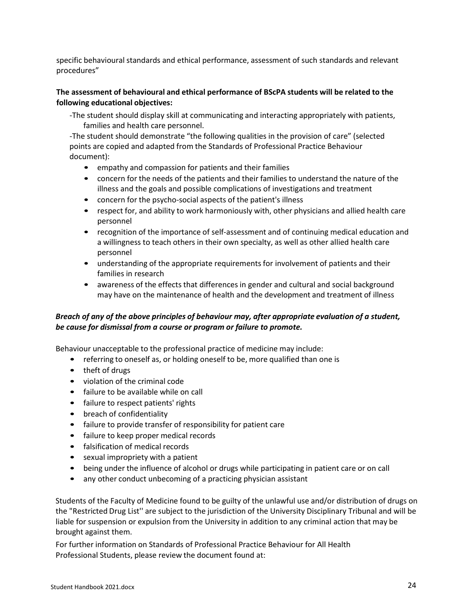specific behavioural standards and ethical performance, assessment of such standards and relevant procedures"

#### **The assessment of behavioural and ethical performance of BScPA students will be related to the following educational objectives:**

-The student should display skill at communicating and interacting appropriately with patients, families and health care personnel.

-The student should demonstrate "the following qualities in the provision of care" (selected points are copied and adapted from the Standards of Professional Practice Behaviour document):

- empathy and compassion for patients and their families
- concern for the needs of the patients and their families to understand the nature of the illness and the goals and possible complications of investigations and treatment
- concern for the psycho-social aspects of the patient's illness
- respect for, and ability to work harmoniously with, other physicians and allied health care personnel
- recognition of the importance of self-assessment and of continuing medical education and a willingness to teach others in their own specialty, as well as other allied health care personnel
- understanding of the appropriate requirements for involvement of patients and their families in research
- awareness of the effects that differences in gender and cultural and social background may have on the maintenance of health and the development and treatment of illness

#### *Breach of any of the above principles of behaviour may, after appropriate evaluation of a student, be cause for dismissal from a course or program or failure to promote.*

Behaviour unacceptable to the professional practice of medicine may include:

- referring to oneself as, or holding oneself to be, more qualified than one is
- theft of drugs
- violation of the criminal code
- failure to be available while on call
- failure to respect patients' rights
- breach of confidentiality
- failure to provide transfer of responsibility for patient care
- failure to keep proper medical records
- falsification of medical records
- sexual impropriety with a patient
- being under the influence of alcohol or drugs while participating in patient care or on call
- any other conduct unbecoming of a practicing physician assistant

Students of the Faculty of Medicine found to be guilty of the unlawful use and/or distribution of drugs on the "Restricted Drug List'' are subject to the jurisdiction of the University Disciplinary Tribunal and will be liable for suspension or expulsion from the University in addition to any criminal action that may be brought against them.

For further information on Standards of Professional Practice Behaviour for All Health Professional Students, please review the document found at: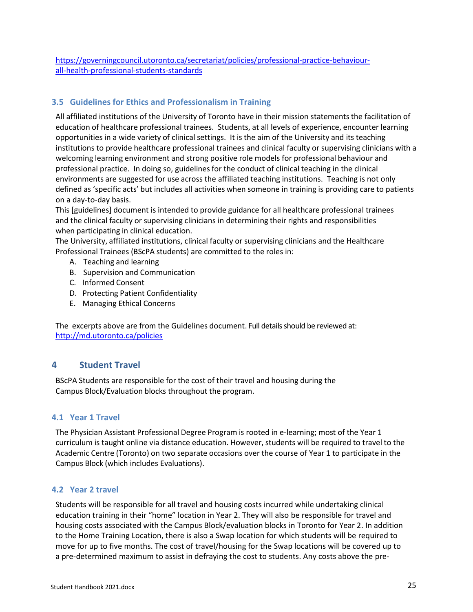[https://governingcouncil.utoronto.ca/secretariat/policies/professional-practice-behaviour](https://governingcouncil.utoronto.ca/secretariat/policies/professional-practice-behaviour-all-health-professional-students-standards)[all-health-professional-students-standards](https://governingcouncil.utoronto.ca/secretariat/policies/professional-practice-behaviour-all-health-professional-students-standards)

# <span id="page-24-0"></span>**3.5 Guidelines for Ethics and Professionalism in Training**

All affiliated institutions of the University of Toronto have in their mission statementsthe facilitation of education of healthcare professional trainees. Students, at all levels of experience, encounter learning opportunities in a wide variety of clinical settings. It is the aim of the University and its teaching institutions to provide healthcare professional trainees and clinical faculty or supervising clinicians with a welcoming learning environment and strong positive role models for professional behaviour and professional practice. In doing so, guidelines for the conduct of clinical teaching in the clinical environments are suggested for use across the affiliated teaching institutions. Teaching is not only defined as 'specific acts' but includes all activities when someone in training is providing care to patients on a day-to-day basis.

This [guidelines] document is intended to provide guidance for all healthcare professional trainees and the clinical faculty or supervising clinicians in determining their rights and responsibilities when participating in clinical education.

The University, affiliated institutions, clinical faculty or supervising clinicians and the Healthcare Professional Trainees (BScPA students) are committed to the roles in:

- A. Teaching and learning
- B. Supervision and Communication
- C. Informed Consent
- D. Protecting Patient Confidentiality
- E. Managing Ethical Concerns

<span id="page-24-1"></span>The excerpts above are from the Guidelines document. Full details should be reviewed at: <http://md.utoronto.ca/policies>

#### **4 Student Travel**

BScPA Students are responsible for the cost of their travel and housing during the Campus Block/Evaluation blocks throughout the program.

#### <span id="page-24-2"></span>**4.1 Year 1 Travel**

The Physician Assistant Professional Degree Program is rooted in e-learning; most of the Year 1 curriculum is taught online via distance education. However, students will be required to travel to the Academic Centre (Toronto) on two separate occasions over the course of Year 1 to participate in the Campus Block (which includes Evaluations).

#### <span id="page-24-3"></span>**4.2 Year 2 travel**

Students will be responsible for all travel and housing costs incurred while undertaking clinical education training in their "home" location in Year 2. They will also be responsible for travel and housing costs associated with the Campus Block/evaluation blocks in Toronto for Year 2. In addition to the Home Training Location, there is also a Swap location for which students will be required to move for up to five months. The cost of travel/housing for the Swap locations will be covered up to a pre-determined maximum to assist in defraying the cost to students. Any costs above the pre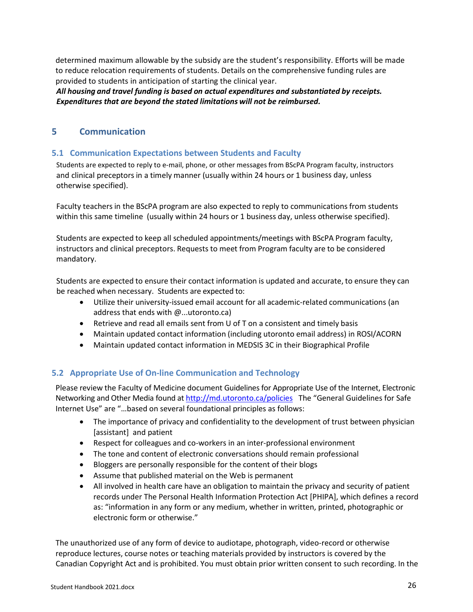determined maximum allowable by the subsidy are the student's responsibility. Efforts will be made to reduce relocation requirements of students. Details on the comprehensive funding rules are provided to students in anticipation of starting the clinical year.

<span id="page-25-0"></span>*All housing and travel funding is based on actual expenditures and substantiated by receipts. Expenditures that are beyond the stated limitations will not be reimbursed.*

# **5 Communication**

# <span id="page-25-1"></span>**5.1 Communication Expectations between Students and Faculty**

Students are expected to reply to e-mail, phone, or other messages from BScPA Program faculty, instructors and clinical preceptors in a timely manner (usually within 24 hours or 1 business day, unless otherwise specified).

Faculty teachers in the BScPA program are also expected to reply to communications from students within this same timeline (usually within 24 hours or 1 business day, unless otherwise specified).

Students are expected to keep all scheduled appointments/meetings with BScPA Program faculty, instructors and clinical preceptors. Requests to meet from Program faculty are to be considered mandatory.

Students are expected to ensure their contact information is updated and accurate, to ensure they can be reached when necessary. Students are expected to:

- Utilize their university-issued email account for all academic-related communications (an address that ends with @...utoronto.ca)
- Retrieve and read all emails sent from U of T on a consistent and timely basis
- Maintain updated contact information (including utoronto email address) in ROSI/ACORN
- Maintain updated contact information in MEDSIS 3C in their Biographical Profile

# <span id="page-25-2"></span>**5.2 Appropriate Use of On-line Communication and Technology**

Please review the Faculty of Medicine document Guidelines for Appropriate Use of the Internet, Electronic Networking and Other Media found a[t http://md.utoronto.ca/policies](http://md.utoronto.ca/policies) The "General Guidelines for Safe Internet Use" are "…based on several foundational principles as follows:

- The importance of privacy and confidentiality to the development of trust between physician [assistant] and patient
- Respect for colleagues and co-workers in an inter-professional environment
- The tone and content of electronic conversations should remain professional
- Bloggers are personally responsible for the content of their blogs
- Assume that published material on the Web is permanent
- All involved in health care have an obligation to maintain the privacy and security of patient records under The Personal Health Information Protection Act [PHIPA], which defines a record as: "information in any form or any medium, whether in written, printed, photographic or electronic form or otherwise."

The unauthorized use of any form of device to audiotape, photograph, video-record or otherwise reproduce lectures, course notes or teaching materials provided by instructors is covered by the Canadian Copyright Act and is prohibited. You must obtain prior written consent to such recording. In the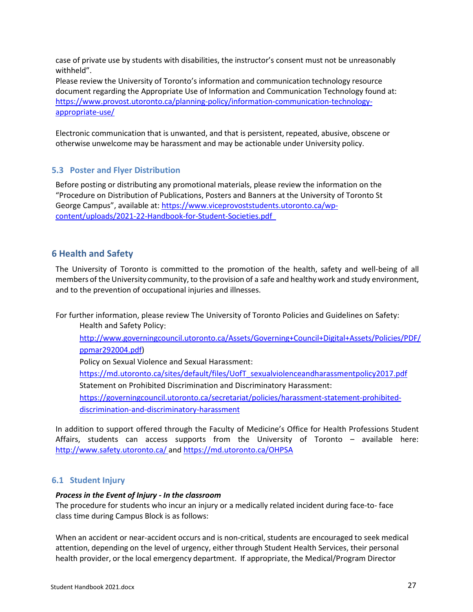case of private use by students with disabilities, the instructor's consent must not be unreasonably withheld".

Please review the University of Toronto's information and communication technology resource document regarding the Appropriate Use of Information and Communication Technology found at: [https://www.provost.utoronto.ca/planning-policy/information-communication-technology](https://www.provost.utoronto.ca/planning-policy/information-communication-technology-appropriate-use/)[appropriate-use/](https://www.provost.utoronto.ca/planning-policy/information-communication-technology-appropriate-use/)

Electronic communication that is unwanted, and that is persistent, repeated, abusive, obscene or otherwise unwelcome may be harassment and may be actionable under University policy.

#### <span id="page-26-0"></span>**5.3 Poster and Flyer Distribution**

Before posting or distributing any promotional materials, please review the information on the "Procedure on Distribution of Publications, Posters and Banners at the University of Toronto St George Campus", available at: [https://www.viceprovoststudents.utoronto.ca/wp](https://www.viceprovoststudents.utoronto.ca/wp-content/uploads/2021-22-Handbook-for-Student-Societies.pdf)[content/uploads/2021-22-Handbook-for-Student-Societies.pdf](https://www.viceprovoststudents.utoronto.ca/wp-content/uploads/2021-22-Handbook-for-Student-Societies.pdf)

# <span id="page-26-1"></span>**6 Health and Safety**

The University of Toronto is committed to the promotion of the health, safety and well-being of all members of the University community, to the provision of a safe and healthy work and study environment, and to the prevention of occupational injuries and illnesses.

For further information, please review The University of Toronto Policies and Guidelines on Safety: Health and Safety Policy:

[http://www.governingcouncil.utoronto.ca/Assets/Governing+Council+Digital+Assets/Policies/PDF/](http://www.governingcouncil.utoronto.ca/Assets/Governing+Council+Digital+Assets/Policies/PDF/ppmar292004.pdf) [ppmar292004.pdf\)](http://www.governingcouncil.utoronto.ca/Assets/Governing+Council+Digital+Assets/Policies/PDF/ppmar292004.pdf)

Policy on Sexual Violence and Sexual Harassment:

[https://md.utoronto.ca/sites/default/files/UofT\\_sexualviolenceandharassmentpolicy2017.pdf](https://md.utoronto.ca/sites/default/files/UofT_sexualviolenceandharassmentpolicy2017.pdf) Statement on Prohibited Discrimination and Discriminatory Harassment:

[https://governingcouncil.utoronto.ca/secretariat/policies/harassment-statement-prohibited](https://governingcouncil.utoronto.ca/secretariat/policies/harassment-statement-prohibited-discrimination-and-discriminatory-harassment)[discrimination-and-discriminatory-harassment](https://governingcouncil.utoronto.ca/secretariat/policies/harassment-statement-prohibited-discrimination-and-discriminatory-harassment)

In addition to support offered through the Faculty of Medicine's Office for Health Professions Student Affairs, students can access supports from the University of Toronto – available here: <http://www.safety.utoronto.ca/> an[d https://md.utoronto.ca/OHPSA](https://md.utoronto.ca/OHPSA)

#### <span id="page-26-2"></span>**6.1 Student Injury**

#### *Process in the Event of Injury - In the classroom*

The procedure for students who incur an injury or a medically related incident during face-to- face class time during Campus Block is as follows:

When an accident or near-accident occurs and is non-critical, students are encouraged to seek medical attention, depending on the level of urgency, either through Student Health Services, their personal health provider, or the local emergency department. If appropriate, the Medical/Program Director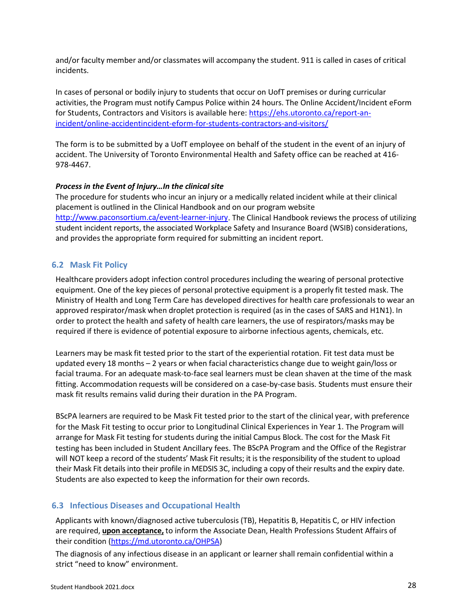and/or faculty member and/or classmates will accompany the student. 911 is called in cases of critical incidents.

In cases of personal or bodily injury to students that occur on UofT premises or during curricular activities, the Program must notify Campus Police within 24 hours. The Online Accident/Incident eForm for Students, Contractors and Visitors is available here[: https://ehs.utoronto.ca/report-an](https://ehs.utoronto.ca/report-an-incident/online-accidentincident-eform-for-students-contractors-and-visitors/)[incident/online-accidentincident-eform-for-students-contractors-and-visitors/](https://ehs.utoronto.ca/report-an-incident/online-accidentincident-eform-for-students-contractors-and-visitors/)

The form is to be submitted by a UofT employee on behalf of the student in the event of an injury of accident. The University of Toronto Environmental Health and Safety office can be reached at 416- 978-4467.

#### *Process in the Event of Injury…In the clinical site*

The procedure for students who incur an injury or a medically related incident while at their clinical placement is outlined in the Clinical Handbook and on our program website [http://www.paconsortium.ca/event-learner-injury.](http://www.paconsortium.ca/event-learner-injury) The Clinical Handbook reviews the process of utilizing student incident reports, the associated Workplace Safety and Insurance Board (WSIB) considerations, and provides the appropriate form required for submitting an incident report.

#### <span id="page-27-0"></span>**6.2 Mask Fit Policy**

Healthcare providers adopt infection control procedures including the wearing of personal protective equipment. One of the key pieces of personal protective equipment is a properly fit tested mask. The Ministry of Health and Long Term Care has developed directives for health care professionals to wear an approved respirator/mask when droplet protection is required (as in the cases of SARS and H1N1). In order to protect the health and safety of health care learners, the use of respirators/masks may be required if there is evidence of potential exposure to airborne infectious agents, chemicals, etc.

Learners may be mask fit tested prior to the start of the experiential rotation. Fit test data must be updated every 18 months – 2 years or when facial characteristics change due to weight gain/loss or facial trauma. For an adequate mask-to-face seal learners must be clean shaven at the time of the mask fitting. Accommodation requests will be considered on a case-by-case basis. Students must ensure their mask fit results remains valid during their duration in the PA Program.

BScPA learners are required to be Mask Fit tested prior to the start of the clinical year, with preference for the Mask Fit testing to occur prior to Longitudinal Clinical Experiences in Year 1. The Program will arrange for Mask Fit testing for students during the initial Campus Block. The cost for the Mask Fit testing has been included in Student Ancillary fees. The BScPA Program and the Office of the Registrar will NOT keep a record of the students' Mask Fit results; it is the responsibility of the student to upload their Mask Fit details into their profile in MEDSIS 3C, including a copy of their results and the expiry date. Students are also expected to keep the information for their own records.

#### <span id="page-27-1"></span>**6.3 Infectious Diseases and Occupational Health**

Applicants with known/diagnosed active tuberculosis (TB), Hepatitis B, Hepatitis C, or HIV infection are required, **upon acceptance,** to inform the Associate Dean, Health Professions Student Affairs of their condition [\(https://md.utoronto.ca/OHPSA\)](https://md.utoronto.ca/OHPSA)

The diagnosis of any infectious disease in an applicant or learner shall remain confidential within a strict "need to know" environment.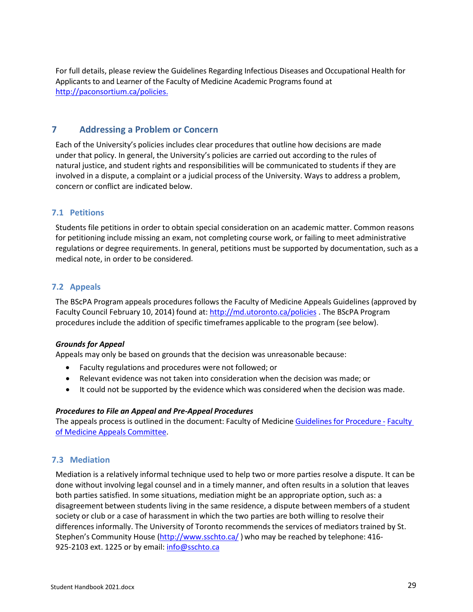For full details, please review the Guidelines Regarding Infectious Diseases and Occupational Health for Applicants to and Learner of the Faculty of Medicine Academic Programs found at [http://paconsortium.ca/policies.](http://paconsortium.ca/policies)

# <span id="page-28-0"></span>**7 Addressing a Problem or Concern**

Each of the University's policies includes clear procedures that outline how decisions are made under that policy. In general, the University's policies are carried out according to the rules of natural justice, and student rights and responsibilities will be communicated to students if they are involved in a dispute, a complaint or a judicial process of the University. Ways to address a problem, concern or conflict are indicated below.

# <span id="page-28-1"></span>**7.1 Petitions**

Students file petitions in order to obtain special consideration on an academic matter. Common reasons for petitioning include missing an exam, not completing course work, or failing to meet administrative regulations or degree requirements. In general, petitions must be supported by documentation, such as a medical note, in order to be considered.

# <span id="page-28-2"></span>**7.2 Appeals**

The BScPA Program appeals procedures follows the Faculty of Medicine Appeals Guidelines (approved by Faculty Council February 10, 2014) found at: <http://md.utoronto.ca/policies> . The BScPA Program procedures include the addition of specific timeframes applicable to the program (see below).

#### *Grounds for Appeal*

Appeals may only be based on grounds that the decision was unreasonable because:

- Faculty regulations and procedures were not followed; or
- Relevant evidence was not taken into consideration when the decision was made; or
- It could not be supported by the evidence which was considered when the decision was made.

#### *Procedures to File an Appeal and Pre-Appeal Procedures*

The appeals process is outlined in the document: Faculty of Medicine Guidelines [for Procedure](http://medicine.utoronto.ca/sites/default/files/Appeals_Guidelines_Feb_14.pdf) - [Faculty](http://medicine.utoronto.ca/sites/default/files/Appeals_Guidelines_Feb_14.pdf) [of Medicine](http://medicine.utoronto.ca/sites/default/files/Appeals_Guidelines_Feb_14.pdf) Appeals Committee.

# <span id="page-28-3"></span>**7.3 Mediation**

Mediation is a relatively informal technique used to help two or more parties resolve a dispute. It can be done without involving legal counsel and in a timely manner, and often results in a solution that leaves both parties satisfied. In some situations, mediation might be an appropriate option, such as: a disagreement between students living in the same residence, a dispute between members of a student society or club or a case of harassment in which the two parties are both willing to resolve their differences informally. The University of Toronto recommendsthe services of mediators trained by St. Stephen's Community House [\(http://www.sschto.ca/](http://www.sschto.ca/)) who may be reached by telephone: 416-925-2103 ext. 1225 or by email[: info@sschto.ca](mailto:info@sschto.ca)